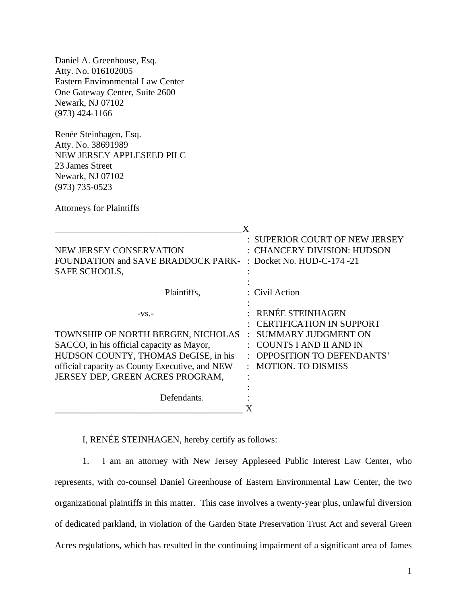Daniel A. Greenhouse, Esq. Atty. No. 016102005 Eastern Environmental Law Center One Gateway Center, Suite 2600 Newark, NJ 07102 (973) 424-1166

Renée Steinhagen, Esq. Atty. No. 38691989 NEW JERSEY APPLESEED PILC 23 James Street Newark, NJ 07102 (973) 735-0523

Attorneys for Plaintiffs

|                                                                                                                                                                                                                          | X                                                                                                                                                                     |
|--------------------------------------------------------------------------------------------------------------------------------------------------------------------------------------------------------------------------|-----------------------------------------------------------------------------------------------------------------------------------------------------------------------|
| NEW JERSEY CONSERVATION<br>FOUNDATION and SAVE BRADDOCK PARK-<br>SAFE SCHOOLS,                                                                                                                                           | : SUPERIOR COURT OF NEW JERSEY<br>: CHANCERY DIVISION: HUDSON<br>: Docket No. HUD-C-174 -21                                                                           |
| Plaintiffs,                                                                                                                                                                                                              | : Civil Action                                                                                                                                                        |
| $-VS$ .<br>TOWNSHIP OF NORTH BERGEN, NICHOLAS<br>SACCO, in his official capacity as Mayor,<br>HUDSON COUNTY, THOMAS DeGISE, in his<br>official capacity as County Executive, and NEW<br>JERSEY DEP, GREEN ACRES PROGRAM, | RENÉE STEINHAGEN<br><b>CERTIFICATION IN SUPPORT</b><br>SUMMARY JUDGMENT ON<br>COUNTS I AND II AND IN<br><b>OPPOSITION TO DEFENDANTS'</b><br><b>MOTION. TO DISMISS</b> |
| Defendants.                                                                                                                                                                                                              |                                                                                                                                                                       |

I, RENÉE STEINHAGEN, hereby certify as follows:

1. I am an attorney with New Jersey Appleseed Public Interest Law Center, who represents, with co-counsel Daniel Greenhouse of Eastern Environmental Law Center, the two organizational plaintiffs in this matter. This case involves a twenty-year plus, unlawful diversion of dedicated parkland, in violation of the Garden State Preservation Trust Act and several Green Acres regulations, which has resulted in the continuing impairment of a significant area of James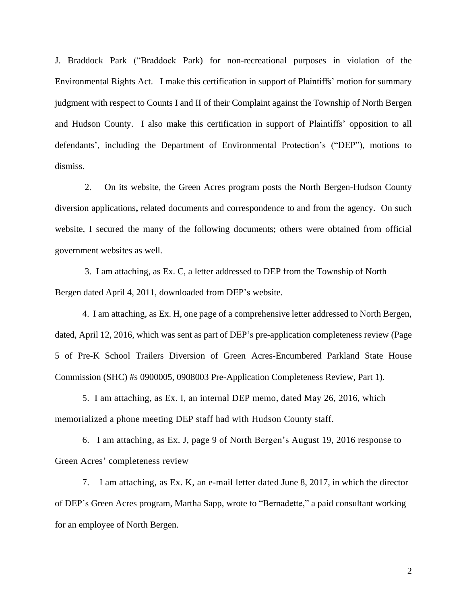J. Braddock Park ("Braddock Park) for non-recreational purposes in violation of the Environmental Rights Act. I make this certification in support of Plaintiffs' motion for summary judgment with respect to Counts I and II of their Complaint against the Township of North Bergen and Hudson County. I also make this certification in support of Plaintiffs' opposition to all defendants', including the Department of Environmental Protection's ("DEP"), motions to dismiss.

2. On its website, the Green Acres program posts the North Bergen-Hudson County diversion applications**,** related documents and correspondence to and from the agency. On such website, I secured the many of the following documents; others were obtained from official government websites as well.

 3. I am attaching, as Ex. C, a letter addressed to DEP from the Township of North Bergen dated April 4, 2011, downloaded from DEP's website.

4. I am attaching, as Ex. H, one page of a comprehensive letter addressed to North Bergen, dated, April 12, 2016, which was sent as part of DEP's pre-application completeness review (Page 5 of Pre-K School Trailers Diversion of Green Acres-Encumbered Parkland State House Commission (SHC) #s 0900005, 0908003 Pre-Application Completeness Review, Part 1).

5. I am attaching, as Ex. I, an internal DEP memo, dated May 26, 2016, which memorialized a phone meeting DEP staff had with Hudson County staff.

6. I am attaching, as Ex. J, page 9 of North Bergen's August 19, 2016 response to Green Acres' completeness review

7. I am attaching, as Ex. K, an e-mail letter dated June 8, 2017, in which the director of DEP's Green Acres program, Martha Sapp, wrote to "Bernadette," a paid consultant working for an employee of North Bergen.

2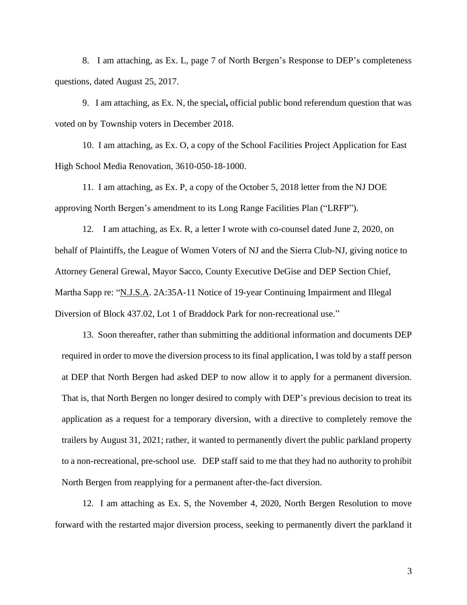8. I am attaching, as Ex. L, page 7 of North Bergen's Response to DEP's completeness questions, dated August 25, 2017.

9. I am attaching, as Ex. N, the special**,** official public bond referendum question that was voted on by Township voters in December 2018.

10. I am attaching, as Ex. O, a copy of the School Facilities Project Application for East High School Media Renovation, 3610-050-18-1000.

11. I am attaching, as Ex. P, a copy of the October 5, 2018 letter from the NJ DOE approving North Bergen's amendment to its Long Range Facilities Plan ("LRFP").

12. I am attaching, as Ex. R, a letter I wrote with co-counsel dated June 2, 2020, on behalf of Plaintiffs, the League of Women Voters of NJ and the Sierra Club-NJ, giving notice to Attorney General Grewal, Mayor Sacco, County Executive DeGise and DEP Section Chief, Martha Sapp re: "N.J.S.A. 2A:35A-11 Notice of 19-year Continuing Impairment and Illegal Diversion of Block 437.02, Lot 1 of Braddock Park for non-recreational use."

13. Soon thereafter, rather than submitting the additional information and documents DEP required in order to move the diversion process to its final application, I was told by a staff person at DEP that North Bergen had asked DEP to now allow it to apply for a permanent diversion. That is, that North Bergen no longer desired to comply with DEP's previous decision to treat its application as a request for a temporary diversion, with a directive to completely remove the trailers by August 31, 2021; rather, it wanted to permanently divert the public parkland property to a non-recreational, pre-school use. DEP staff said to me that they had no authority to prohibit North Bergen from reapplying for a permanent after-the-fact diversion.

12. I am attaching as Ex. S, the November 4, 2020, North Bergen Resolution to move forward with the restarted major diversion process, seeking to permanently divert the parkland it

3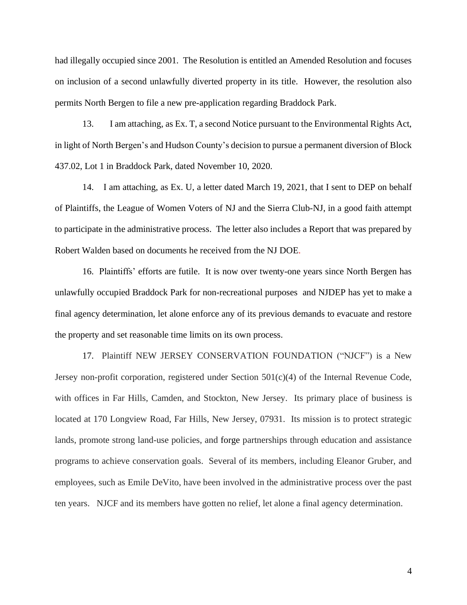had illegally occupied since 2001. The Resolution is entitled an Amended Resolution and focuses on inclusion of a second unlawfully diverted property in its title. However, the resolution also permits North Bergen to file a new pre-application regarding Braddock Park.

13. I am attaching, as Ex. T, a second Notice pursuant to the Environmental Rights Act, in light of North Bergen's and Hudson County's decision to pursue a permanent diversion of Block 437.02, Lot 1 in Braddock Park, dated November 10, 2020.

 14. I am attaching, as Ex. U, a letter dated March 19, 2021, that I sent to DEP on behalf of Plaintiffs, the League of Women Voters of NJ and the Sierra Club-NJ, in a good faith attempt to participate in the administrative process. The letter also includes a Report that was prepared by Robert Walden based on documents he received from the NJ DOE.

16. Plaintiffs' efforts are futile. It is now over twenty-one years since North Bergen has unlawfully occupied Braddock Park for non-recreational purposes and NJDEP has yet to make a final agency determination, let alone enforce any of its previous demands to evacuate and restore the property and set reasonable time limits on its own process.

17. Plaintiff NEW JERSEY CONSERVATION FOUNDATION ("NJCF") is a New Jersey non-profit corporation, registered under Section 501(c)(4) of the Internal Revenue Code, with offices in Far Hills, Camden, and Stockton, New Jersey. Its primary place of business is located at 170 Longview Road, Far Hills, New Jersey, 07931. Its mission is to protect strategic lands, promote strong land-use policies, and forge partnerships through education and assistance programs to achieve conservation goals. Several of its members, including Eleanor Gruber, and employees, such as Emile DeVito, have been involved in the administrative process over the past ten years. NJCF and its members have gotten no relief, let alone a final agency determination.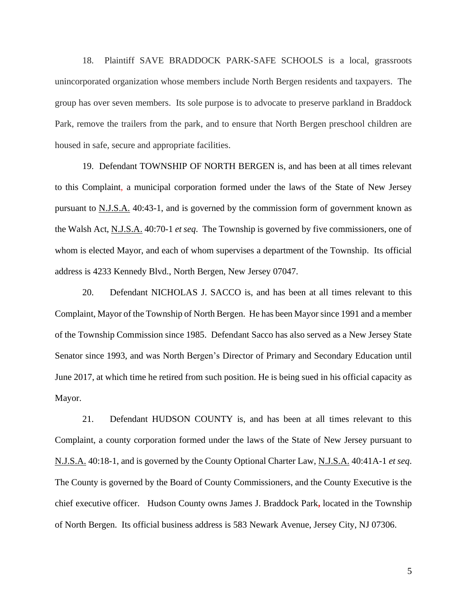18. Plaintiff SAVE BRADDOCK PARK-SAFE SCHOOLS is a local, grassroots unincorporated organization whose members include North Bergen residents and taxpayers. The group has over seven members. Its sole purpose is to advocate to preserve parkland in Braddock Park, remove the trailers from the park, and to ensure that North Bergen preschool children are housed in safe, secure and appropriate facilities.

19. Defendant TOWNSHIP OF NORTH BERGEN is, and has been at all times relevant to this Complaint, a municipal corporation formed under the laws of the State of New Jersey pursuant to N.J.S.A. 40:43-1, and is governed by the commission form of government known as the Walsh Act, N.J.S.A. 40:70-1 *et seq*. The Township is governed by five commissioners, one of whom is elected Mayor, and each of whom supervises a department of the Township. Its official address is 4233 Kennedy Blvd., North Bergen, New Jersey 07047.

20. Defendant NICHOLAS J. SACCO is, and has been at all times relevant to this Complaint, Mayor of the Township of North Bergen. He has been Mayorsince 1991 and a member of the Township Commission since 1985. Defendant Sacco has also served as a New Jersey State Senator since 1993, and was North Bergen's Director of Primary and Secondary Education until June 2017, at which time he retired from such position. He is being sued in his official capacity as Mayor.

21. Defendant HUDSON COUNTY is, and has been at all times relevant to this Complaint, a county corporation formed under the laws of the State of New Jersey pursuant to N.J.S.A. 40:18-1, and is governed by the County Optional Charter Law, N.J.S.A. 40:41A-1 *et seq*. The County is governed by the Board of County Commissioners, and the County Executive is the chief executive officer. Hudson County owns James J. Braddock Park**,** located in the Township of North Bergen. Its official business address is 583 Newark Avenue, Jersey City, NJ 07306.

5